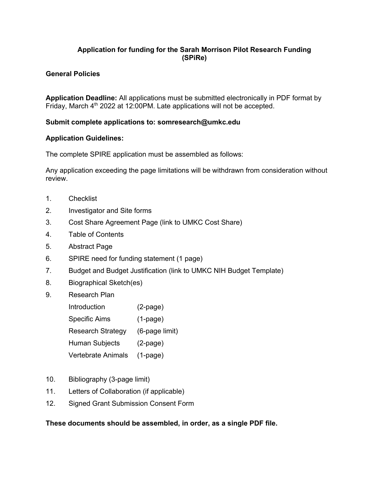# **Application for funding for the Sarah Morrison Pilot Research Funding (SPiRe)**

# **General Policies**

**Application Deadline:** All applications must be submitted electronically in PDF format by Friday, March  $4<sup>th</sup>$  2022 at 12:00PM. Late applications will not be accepted.

## **Submit complete applications to: somresearch@umkc.edu**

## **Application Guidelines:**

The complete SPIRE application must be assembled as follows:

Any application exceeding the page limitations will be withdrawn from consideration without review.

- 1. Checklist
- 2. Investigator and Site forms
- 3. Cost Share Agreement Page (link to UMKC Cost Share)
- 4. Table of Contents
- 5. Abstract Page
- 6. SPIRE need for funding statement (1 page)
- 7. Budget and Budget Justification (link to UMKC NIH Budget Template)
- 8. Biographical Sketch(es)
- 9. Research Plan

| Introduction             | $(2-page)$     |
|--------------------------|----------------|
| <b>Specific Aims</b>     | $(1-page)$     |
| <b>Research Strategy</b> | (6-page limit) |
| <b>Human Subjects</b>    | $(2-page)$     |
| Vertebrate Animals       | $(1-page)$     |

- 10. Bibliography (3-page limit)
- 11. Letters of Collaboration (if applicable)
- 12. Signed Grant Submission Consent Form

## **These documents should be assembled, in order, as a single PDF file.**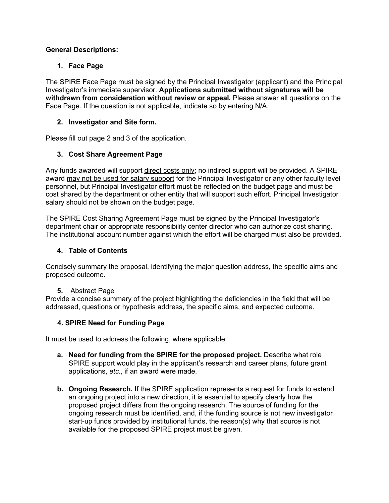# **General Descriptions:**

# **1. Face Page**

The SPIRE Face Page must be signed by the Principal Investigator (applicant) and the Principal Investigator's immediate supervisor. **Applications submitted without signatures will be withdrawn from consideration without review or appeal***.* Please answer all questions on the Face Page. If the question is not applicable, indicate so by entering N/A.

# **2. Investigator and Site form.**

Please fill out page 2 and 3 of the application.

# **3. Cost Share Agreement Page**

Any funds awarded will support direct costs only; no indirect support will be provided. A SPIRE award may not be used for salary support for the Principal Investigator or any other faculty level personnel, but Principal Investigator effort must be reflected on the budget page and must be cost shared by the department or other entity that will support such effort. Principal Investigator salary should not be shown on the budget page.

The SPIRE Cost Sharing Agreement Page must be signed by the Principal Investigator's department chair or appropriate responsibility center director who can authorize cost sharing. The institutional account number against which the effort will be charged must also be provided.

# **4. Table of Contents**

Concisely summary the proposal, identifying the major question address, the specific aims and proposed outcome.

## **5.** Abstract Page

Provide a concise summary of the project highlighting the deficiencies in the field that will be addressed, questions or hypothesis address, the specific aims, and expected outcome.

## **4. SPIRE Need for Funding Page**

It must be used to address the following, where applicable:

- **a. Need for funding from the SPIRE for the proposed project.** Describe what role SPIRE support would play in the applicant's research and career plans, future grant applications, *etc*., if an award were made.
- **b. Ongoing Research.** If the SPIRE application represents a request for funds to extend an ongoing project into a new direction, it is essential to specify clearly how the proposed project differs from the ongoing research. The source of funding for the ongoing research must be identified, and, if the funding source is not new investigator start-up funds provided by institutional funds, the reason(s) why that source is not available for the proposed SPIRE project must be given.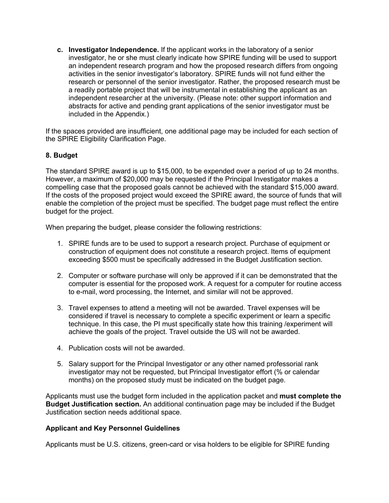**c. Investigator Independence.** If the applicant works in the laboratory of a senior investigator, he or she must clearly indicate how SPIRE funding will be used to support an independent research program and how the proposed research differs from ongoing activities in the senior investigator's laboratory. SPIRE funds will not fund either the research or personnel of the senior investigator. Rather, the proposed research must be a readily portable project that will be instrumental in establishing the applicant as an independent researcher at the university. (Please note: other support information and abstracts for active and pending grant applications of the senior investigator must be included in the Appendix.)

If the spaces provided are insufficient, one additional page may be included for each section of the SPIRE Eligibility Clarification Page.

### **8. Budget**

The standard SPIRE award is up to \$15,000, to be expended over a period of up to 24 months. However, a maximum of \$20,000 may be requested if the Principal Investigator makes a compelling case that the proposed goals cannot be achieved with the standard \$15,000 award. If the costs of the proposed project would exceed the SPIRE award, the source of funds that will enable the completion of the project must be specified. The budget page must reflect the entire budget for the project.

When preparing the budget, please consider the following restrictions:

- 1. SPIRE funds are to be used to support a research project. Purchase of equipment or construction of equipment does not constitute a research project. Items of equipment exceeding \$500 must be specifically addressed in the Budget Justification section.
- 2. Computer or software purchase will only be approved if it can be demonstrated that the computer is essential for the proposed work. A request for a computer for routine access to e-mail, word processing, the Internet, and similar will not be approved.
- 3. Travel expenses to attend a meeting will not be awarded. Travel expenses will be considered if travel is necessary to complete a specific experiment or learn a specific technique. In this case, the PI must specifically state how this training /experiment will achieve the goals of the project. Travel outside the US will not be awarded.
- 4. Publication costs will not be awarded.
- 5. Salary support for the Principal Investigator or any other named professorial rank investigator may not be requested, but Principal Investigator effort (% or calendar months) on the proposed study must be indicated on the budget page.

Applicants must use the budget form included in the application packet and **must complete the Budget Justification section.** An additional continuation page may be included if the Budget Justification section needs additional space.

### **Applicant and Key Personnel Guidelines**

Applicants must be U.S. citizens, green-card or visa holders to be eligible for SPIRE funding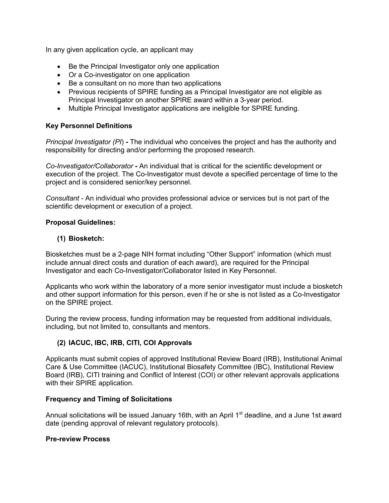In any given application cycle, an applicant may

- Be the Principal Investigator only one application
- Or a Co-investigator on one application
- Be a consultant on no more than two applications
- Previous recipients of SPIRE funding as a Principal Investigator are not eligible as Principal Investigator on another SPIRE award within a 3-year period.
- Multiple Principal Investigator applications are ineligible for SPIRE funding.

## **Key Personnel Definitions**

*Principal Investigator (PI*) **-** The individual who conceives the project and has the authority and responsibility for directing and/or performing the proposed research.

*Co-Investigator/Collaborator* **-** An individual that is critical for the scientific development or execution of the project. The Co-Investigator must devote a specified percentage of time to the project and is considered senior/key personnel.

*Consultant* - An individual who provides professional advice or services but is not part of the scientific development or execution of a project.

## **Proposal Guidelines:**

## **(1) Biosketch:**

Biosketches must be a 2-page NIH format including "Other Support" information (which must include annual direct costs and duration of each award), are required for the Principal Investigator and each Co-Investigator/Collaborator listed in Key Personnel.

Applicants who work within the laboratory of a more senior investigator must include a biosketch and other support information for this person, even if he or she is not listed as a Co-Investigator on the SPIRE project.

During the review process, funding information may be requested from additional individuals, including, but not limited to, consultants and mentors.

## **(2) IACUC, IBC, IRB, CITI, COI Approvals**

Applicants must submit copies of approved Institutional Review Board (IRB), Institutional Animal Care & Use Committee (IACUC), Institutional Biosafety Committee (IBC), Institutional Review Board (IRB), CITI training and Conflict of Interest (COI) or other relevant approvals applications with their SPIRE application.

### **Frequency and Timing of Solicitations**

Annual solicitations will be issued January 16th, with an April 1<sup>st</sup> deadline, and a June 1st award date (pending approval of relevant regulatory protocols).

### **Pre-review Process**